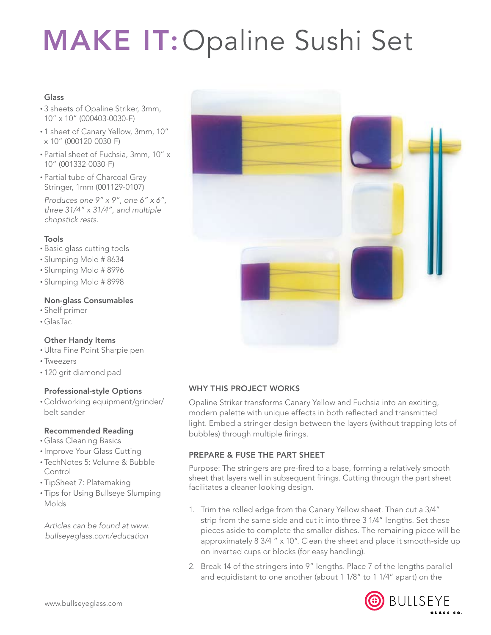# MAKE IT: Opaline Sushi Set

# **Glass**

- • 3 sheets of Opaline Striker, 3mm, 10" x 10" (000403-0030-F)
- 1 sheet of Canary Yellow, 3mm, 10" x 10" (000120-0030-F)
- • Partial sheet of Fuchsia, 3mm, 10" x 10" (001332-0030-F)
- Partial tube of Charcoal Gray Stringer, 1mm (001129-0107)

*Produces one 9" x 9", one 6" x 6", three 31/4" x 31/4", and multiple chopstick rests.*

# **Tools**

- • Basic glass cutting tools
- • Slumping Mold # 8634
- • Slumping Mold # 8996
- • Slumping Mold # 8998

# Non-glass Consumables

- • Shelf primer
- • GlasTac

# Other Handy Items

- • Ultra Fine Point Sharpie pen
- • Tweezers
- • 120 grit diamond pad

# Professional-style Options

• Coldworking equipment/grinder/ belt sander

#### Recommended Reading

- • Glass Cleaning Basics
- Improve Your Glass Cutting
- • TechNotes 5: Volume & Bubble Control
- TipSheet 7: Platemaking
- • Tips for Using Bullseye Slumping Molds

*Articles can be found at www. bullseyeglass.com/education*



# WHY THIS PROJECT WORKS

Opaline Striker transforms Canary Yellow and Fuchsia into an exciting, modern palette with unique effects in both reflected and transmitted light. Embed a stringer design between the layers (without trapping lots of bubbles) through multiple firings.

# PREPARE & FUSE THE PART SHEET

Purpose: The stringers are pre-fired to a base, forming a relatively smooth sheet that layers well in subsequent firings. Cutting through the part sheet facilitates a cleaner-looking design.

- 1. Trim the rolled edge from the Canary Yellow sheet. Then cut a 3/4" strip from the same side and cut it into three 3 1/4" lengths. Set these pieces aside to complete the smaller dishes. The remaining piece will be approximately 8 3/4 " x 10". Clean the sheet and place it smooth-side up on inverted cups or blocks (for easy handling).
- 2. Break 14 of the stringers into 9" lengths. Place 7 of the lengths parallel and equidistant to one another (about 1 1/8" to 1 1/4" apart) on the

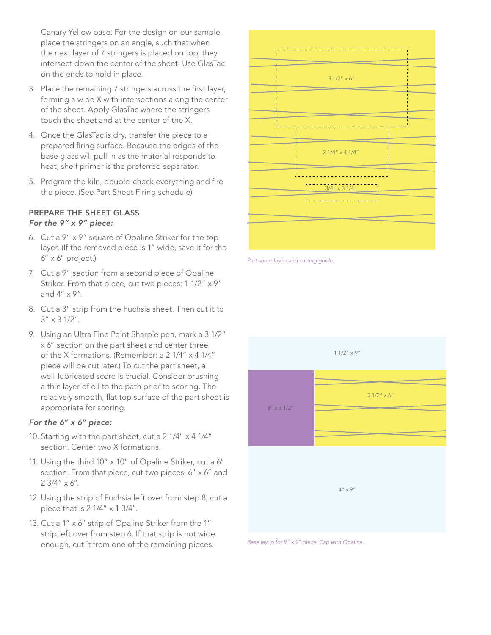Canary Yellow base. For the design on our sample, place the stringers on an angle, such that when the next layer of 7 stringers is placed on top, they intersect down the center of the sheet. Use GlasTac on the ends to hold in place.

- 3. Place the remaining 7 stringers across the first layer, forming a wide X with intersections along the center of the sheet. Apply GlasTac where the stringers touch the sheet and at the center of the X.
- 4. Once the GlasTac is dry, transfer the piece to a prepared firing surface. Because the edges of the base glass will pull in as the material responds to heat, shelf primer is the preferred separator.
- 5. Program the kiln, double-check everything and fire the piece. (See Part Sheet Firing schedule)

# PREPARE THE SHEET GLASS *For the 9" x 9" piece:*

- 6. Cut a 9" x 9" square of Opaline Striker for the top layer. (If the removed piece is 1" wide, save it for the 6" x 6" project.)
- 7. Cut a 9" section from a second piece of Opaline Striker. From that piece, cut two pieces: 1 1/2" x 9" and 4" x 9".
- 8. Cut a 3" strip from the Fuchsia sheet. Then cut it to  $3'' \times 3 \frac{1}{2}$ ".
- 9. Using an Ultra Fine Point Sharpie pen, mark a 3 1/2" x 6" section on the part sheet and center three of the X formations. (Remember: a 2 1/4" x 4 1/4" piece will be cut later.) To cut the part sheet, a well-lubricated score is crucial. Consider brushing a thin layer of oil to the path prior to scoring. The relatively smooth, flat top surface of the part sheet is appropriate for scoring.

#### *For the 6" x 6" piece:*

- 10. Starting with the part sheet, cut a 2 1/4" x 4 1/4" section. Center two X formations.
- 11. Using the third 10" x 10" of Opaline Striker, cut a 6" section. From that piece, cut two pieces: 6" x 6" and 2 3/4" x 6".
- 12. Using the strip of Fuchsia left over from step 8, cut a piece that is 2 1/4" x 1 3/4".
- 13. Cut a 1" x 6" strip of Opaline Striker from the 1" strip left over from step 6. If that strip is not wide enough, cut it from one of the remaining pieces.



*Part sheet layup and cutting guide.*



*Base layup for 9" x 9" piece. Cap with Opaline.*